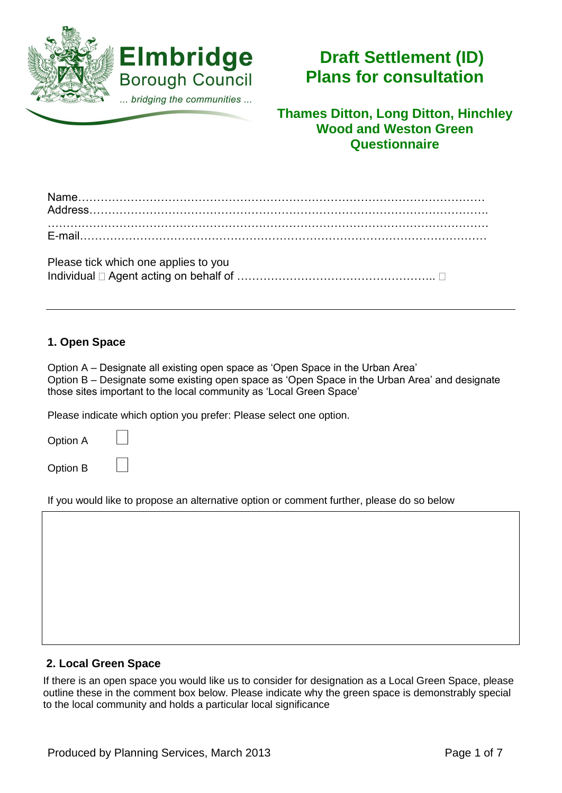

# **Draft Settlement (ID) Plans for consultation**

**Thames Ditton, Long Ditton, Hinchley Wood and Weston Green Questionnaire**

| Please tick which one applies to you |  |
|--------------------------------------|--|
|                                      |  |

## **1. Open Space**

Option A – Designate all existing open space as 'Open Space in the Urban Area' Option B – Designate some existing open space as 'Open Space in the Urban Area' and designate those sites important to the local community as 'Local Green Space'

Please indicate which option you prefer: Please select one option.

| <b>Option A</b> |  |
|-----------------|--|
| Option B        |  |

If you would like to propose an alternative option or comment further, please do so below

#### **2. Local Green Space**

If there is an open space you would like us to consider for designation as a Local Green Space, please outline these in the comment box below. Please indicate why the green space is demonstrably special to the local community and holds a particular local significance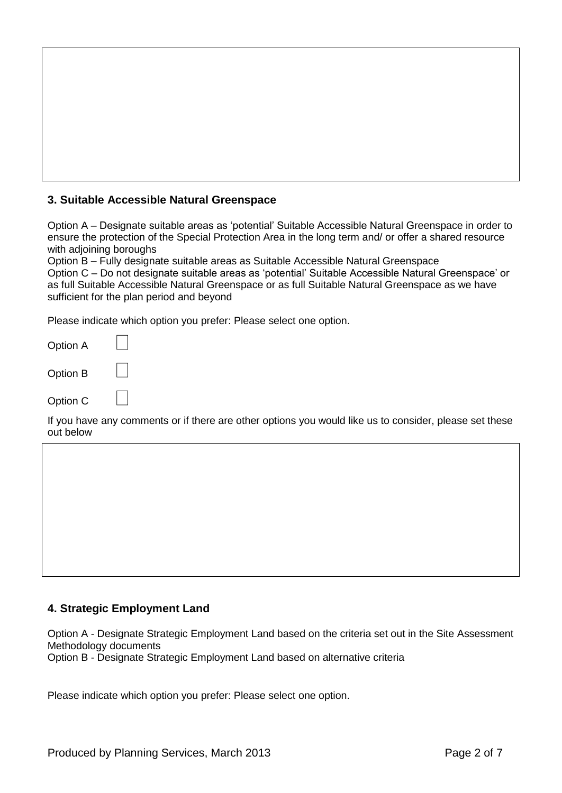### **3. Suitable Accessible Natural Greenspace**

Option A – Designate suitable areas as 'potential' Suitable Accessible Natural Greenspace in order to ensure the protection of the Special Protection Area in the long term and/ or offer a shared resource with adjoining boroughs

Option B – Fully designate suitable areas as Suitable Accessible Natural Greenspace Option C – Do not designate suitable areas as 'potential' Suitable Accessible Natural Greenspace' or as full Suitable Accessible Natural Greenspace or as full Suitable Natural Greenspace as we have sufficient for the plan period and beyond

Please indicate which option you prefer: Please select one option.

| Option A |  |
|----------|--|
| Option B |  |
| Option C |  |

If you have any comments or if there are other options you would like us to consider, please set these out below

#### **4. Strategic Employment Land**

Option A - Designate Strategic Employment Land based on the criteria set out in the Site Assessment Methodology documents

Option B - Designate Strategic Employment Land based on alternative criteria

Please indicate which option you prefer: Please select one option.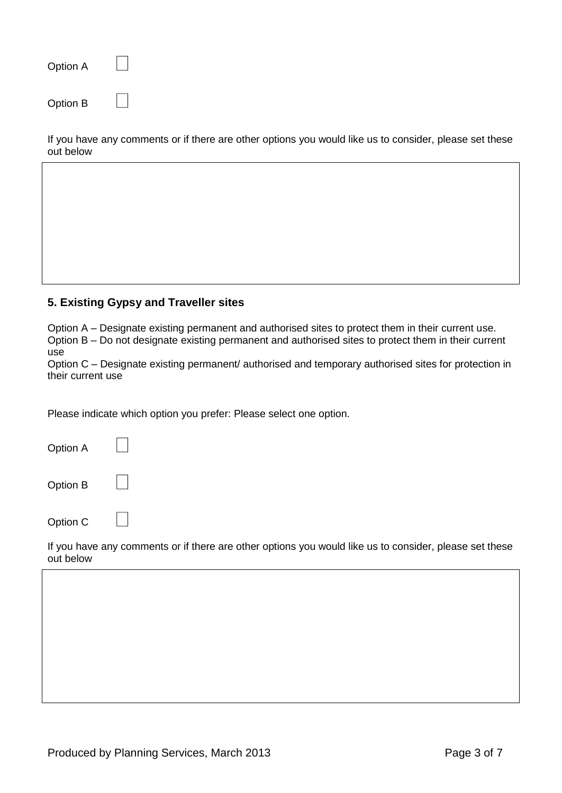| Option A |  |
|----------|--|
| Option B |  |

If you have any comments or if there are other options you would like us to consider, please set these out below

#### **5. Existing Gypsy and Traveller sites**

Option A – Designate existing permanent and authorised sites to protect them in their current use. Option B – Do not designate existing permanent and authorised sites to protect them in their current use

Option C – Designate existing permanent/ authorised and temporary authorised sites for protection in their current use

Please indicate which option you prefer: Please select one option.

| Option A |  |
|----------|--|
| Option B |  |

 $\Box$ 

Option C

If you have any comments or if there are other options you would like us to consider, please set these out below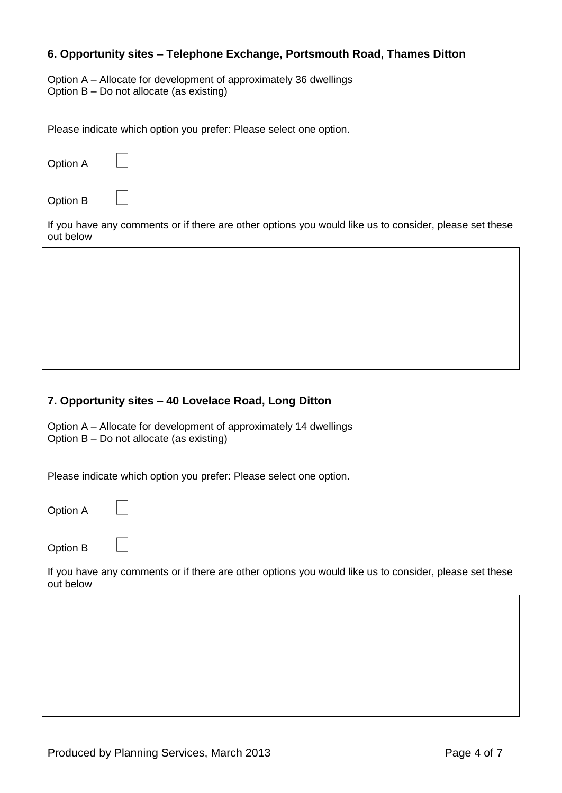#### **6. Opportunity sites – Telephone Exchange, Portsmouth Road, Thames Ditton**

Option A – Allocate for development of approximately 36 dwellings Option B – Do not allocate (as existing)

Please indicate which option you prefer: Please select one option.

| Option A  |                                                                                                        |
|-----------|--------------------------------------------------------------------------------------------------------|
| Option B  |                                                                                                        |
| out below | If you have any comments or if there are other options you would like us to consider, please set these |
|           |                                                                                                        |
|           |                                                                                                        |
|           |                                                                                                        |
|           |                                                                                                        |

#### **7. Opportunity sites – 40 Lovelace Road, Long Ditton**

Option A – Allocate for development of approximately 14 dwellings Option B – Do not allocate (as existing)

Please indicate which option you prefer: Please select one option.

Option A

Option B

If you have any comments or if there are other options you would like us to consider, please set these out below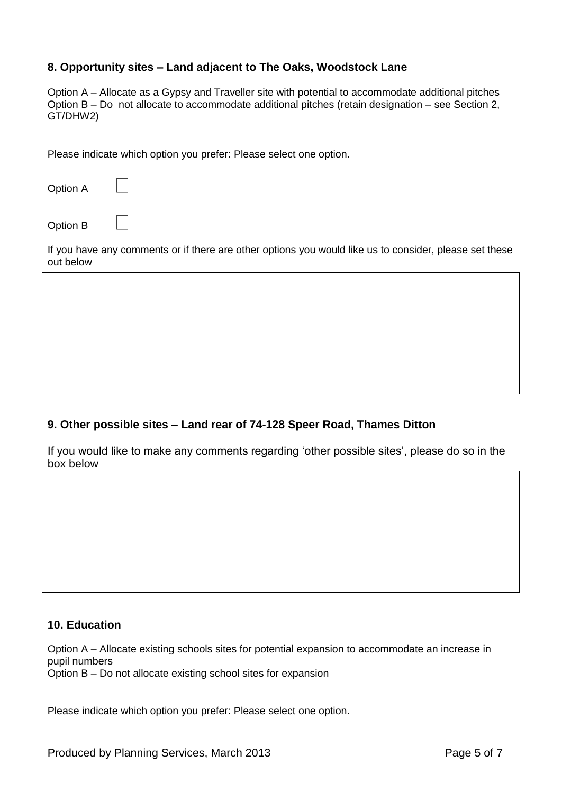#### **8. Opportunity sites – Land adjacent to The Oaks, Woodstock Lane**

Option A – Allocate as a Gypsy and Traveller site with potential to accommodate additional pitches Option B – Do not allocate to accommodate additional pitches (retain designation – see Section 2, GT/DHW2)

Please indicate which option you prefer: Please select one option.

Option A

Option B

If you have any comments or if there are other options you would like us to consider, please set these out below

#### **9. Other possible sites – Land rear of 74-128 Speer Road, Thames Ditton**

If you would like to make any comments regarding 'other possible sites', please do so in the box below

#### **10. Education**

Option A – Allocate existing schools sites for potential expansion to accommodate an increase in pupil numbers Option B – Do not allocate existing school sites for expansion

Please indicate which option you prefer: Please select one option.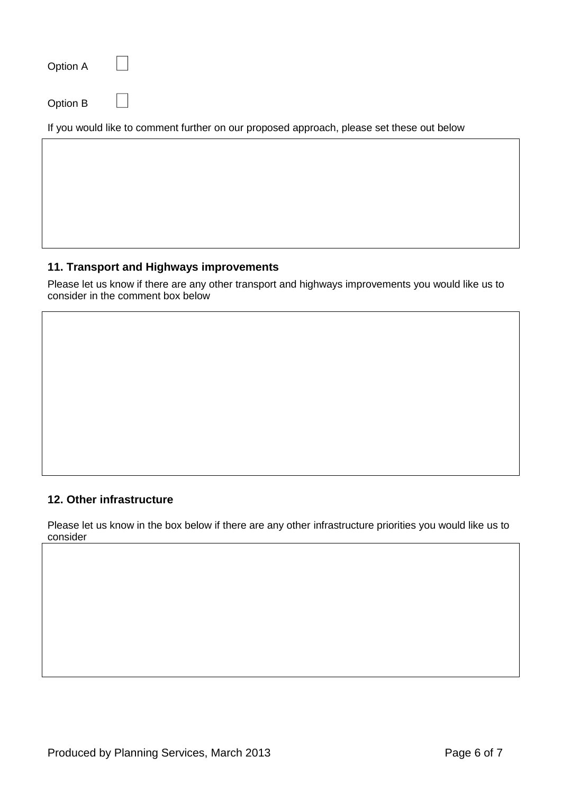| Option A |                                                                                           |
|----------|-------------------------------------------------------------------------------------------|
| Option B |                                                                                           |
|          | If you would like to comment further on our proposed approach, please set these out below |

#### **11. Transport and Highways improvements**

Please let us know if there are any other transport and highways improvements you would like us to consider in the comment box below

#### **12. Other infrastructure**

Please let us know in the box below if there are any other infrastructure priorities you would like us to consider